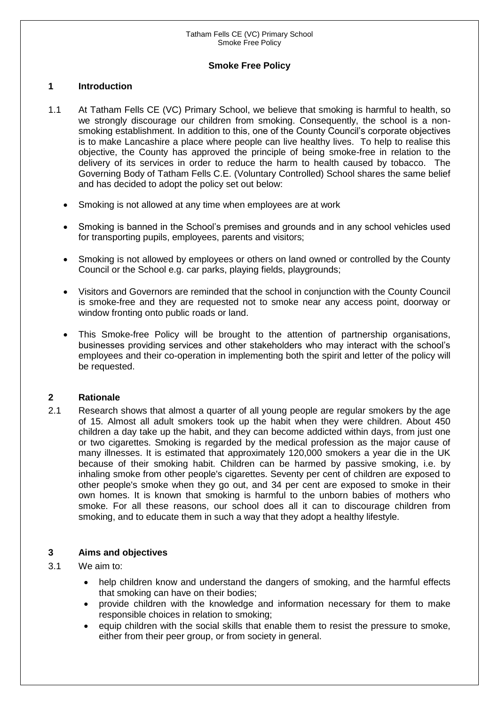### **Smoke Free Policy**

#### **1 Introduction**

- 1.1 At Tatham Fells CE (VC) Primary School, we believe that smoking is harmful to health, so we strongly discourage our children from smoking. Consequently, the school is a nonsmoking establishment. In addition to this, one of the County Council's corporate objectives is to make Lancashire a place where people can live healthy lives. To help to realise this objective, the County has approved the principle of being smoke-free in relation to the delivery of its services in order to reduce the harm to health caused by tobacco. The Governing Body of Tatham Fells C.E. (Voluntary Controlled) School shares the same belief and has decided to adopt the policy set out below:
	- Smoking is not allowed at any time when employees are at work
	- Smoking is banned in the School's premises and grounds and in any school vehicles used for transporting pupils, employees, parents and visitors;
	- Smoking is not allowed by employees or others on land owned or controlled by the County Council or the School e.g. car parks, playing fields, playgrounds;
	- Visitors and Governors are reminded that the school in conjunction with the County Council is smoke-free and they are requested not to smoke near any access point, doorway or window fronting onto public roads or land.
	- This Smoke-free Policy will be brought to the attention of partnership organisations, businesses providing services and other stakeholders who may interact with the school's employees and their co-operation in implementing both the spirit and letter of the policy will be requested.

#### **2 Rationale**

2.1 Research shows that almost a quarter of all young people are regular smokers by the age of 15. Almost all adult smokers took up the habit when they were children. About 450 children a day take up the habit, and they can become addicted within days, from just one or two cigarettes. Smoking is regarded by the medical profession as the major cause of many illnesses. It is estimated that approximately 120,000 smokers a year die in the UK because of their smoking habit. Children can be harmed by passive smoking, i.e. by inhaling smoke from other people's cigarettes. Seventy per cent of children are exposed to other people's smoke when they go out, and 34 per cent are exposed to smoke in their own homes. It is known that smoking is harmful to the unborn babies of mothers who smoke. For all these reasons, our school does all it can to discourage children from smoking, and to educate them in such a way that they adopt a healthy lifestyle.

#### **3 Aims and objectives**

#### 3.1 We aim to:

- help children know and understand the dangers of smoking, and the harmful effects that smoking can have on their bodies;
- provide children with the knowledge and information necessary for them to make responsible choices in relation to smoking;
- equip children with the social skills that enable them to resist the pressure to smoke, either from their peer group, or from society in general.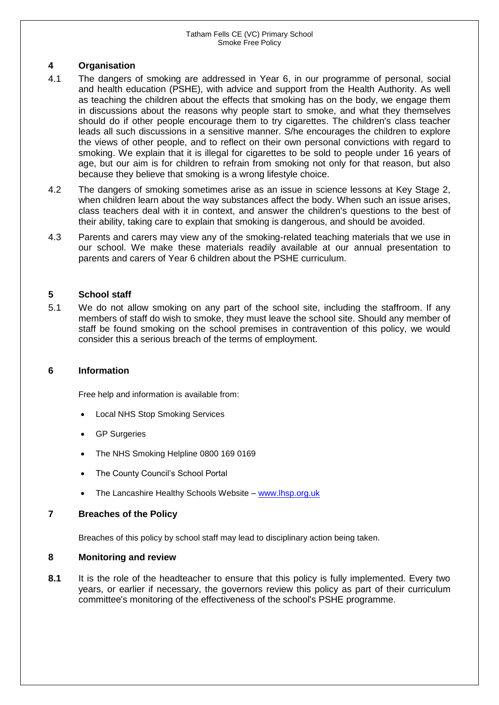# **4 Organisation**

- 4.1 The dangers of smoking are addressed in Year 6, in our programme of personal, social and health education (PSHE), with advice and support from the Health Authority. As well as teaching the children about the effects that smoking has on the body, we engage them in discussions about the reasons why people start to smoke, and what they themselves should do if other people encourage them to try cigarettes. The children's class teacher leads all such discussions in a sensitive manner. S/he encourages the children to explore the views of other people, and to reflect on their own personal convictions with regard to smoking. We explain that it is illegal for cigarettes to be sold to people under 16 years of age, but our aim is for children to refrain from smoking not only for that reason, but also because they believe that smoking is a wrong lifestyle choice.
- 4.2 The dangers of smoking sometimes arise as an issue in science lessons at Key Stage 2, when children learn about the way substances affect the body. When such an issue arises, class teachers deal with it in context, and answer the children's questions to the best of their ability, taking care to explain that smoking is dangerous, and should be avoided.
- 4.3 Parents and carers may view any of the smoking-related teaching materials that we use in our school. We make these materials readily available at our annual presentation to parents and carers of Year 6 children about the PSHE curriculum.

### **5 School staff**

5.1 We do not allow smoking on any part of the school site, including the staffroom. If any members of staff do wish to smoke, they must leave the school site. Should any member of staff be found smoking on the school premises in contravention of this policy, we would consider this a serious breach of the terms of employment.

#### **6 Information**

Free help and information is available from:

- Local NHS Stop Smoking Services
- GP Surgeries
- The NHS Smoking Helpline 0800 169 0169
- The County Council's School Portal
- The Lancashire Healthy Schools Website [www.lhsp.org.uk](http://www.lhsp.org.uk/)

#### **7 Breaches of the Policy**

Breaches of this policy by school staff may lead to disciplinary action being taken.

# **8 Monitoring and review**

**8.1** It is the role of the headteacher to ensure that this policy is fully implemented. Every two years, or earlier if necessary, the governors review this policy as part of their curriculum committee's monitoring of the effectiveness of the school's PSHE programme.